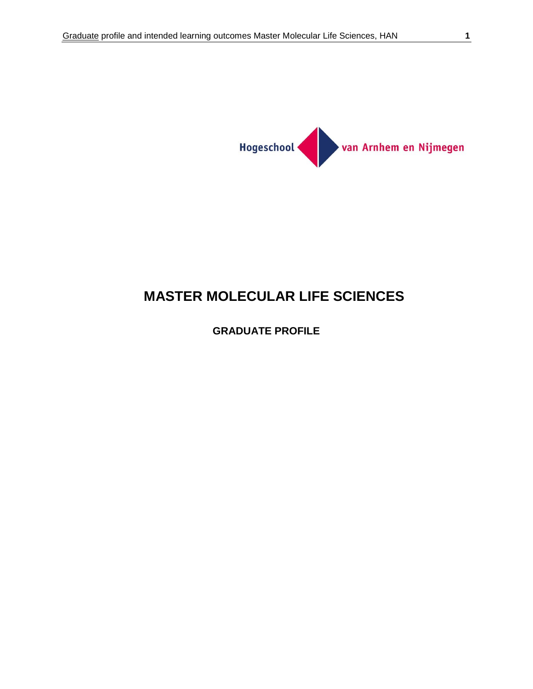

# **MASTER MOLECULAR LIFE SCIENCES**

# **GRADUATE PROFILE**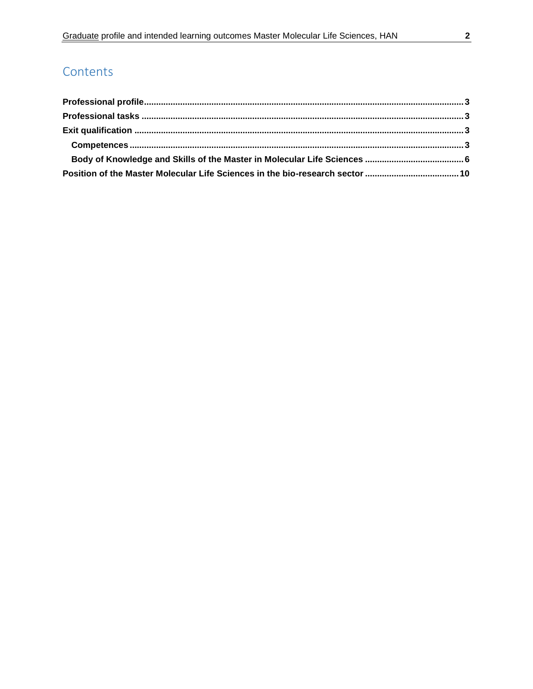# **Contents**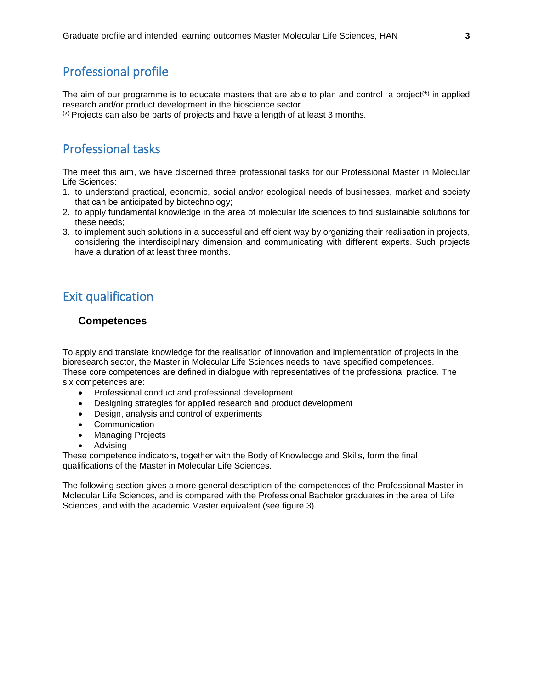# <span id="page-2-0"></span>Professional profile

The aim of our programme is to educate masters that are able to plan and control a project<sup>(\*)</sup> in applied research and/or product development in the bioscience sector.

( \* ) Projects can also be parts of projects and have a length of at least 3 months.

# <span id="page-2-1"></span>Professional tasks

The meet this aim, we have discerned three professional tasks for our Professional Master in Molecular Life Sciences:

- 1. to understand practical, economic, social and/or ecological needs of businesses, market and society that can be anticipated by biotechnology;
- 2. to apply fundamental knowledge in the area of molecular life sciences to find sustainable solutions for these needs;
- 3. to implement such solutions in a successful and efficient way by organizing their realisation in projects, considering the interdisciplinary dimension and communicating with different experts. Such projects have a duration of at least three months.

# <span id="page-2-2"></span>Exit qualification

# <span id="page-2-3"></span>**Competences**

To apply and translate knowledge for the realisation of innovation and implementation of projects in the bioresearch sector, the Master in Molecular Life Sciences needs to have specified competences. These core competences are defined in dialogue with representatives of the professional practice. The six competences are:

- Professional conduct and professional development.
- Designing strategies for applied research and product development
- Design, analysis and control of experiments
- Communication
- Managing Projects
- Advising

These competence indicators, together with the Body of Knowledge and Skills, form the final qualifications of the Master in Molecular Life Sciences.

The following section gives a more general description of the competences of the Professional Master in Molecular Life Sciences, and is compared with the Professional Bachelor graduates in the area of Life Sciences, and with the academic Master equivalent (see figure 3).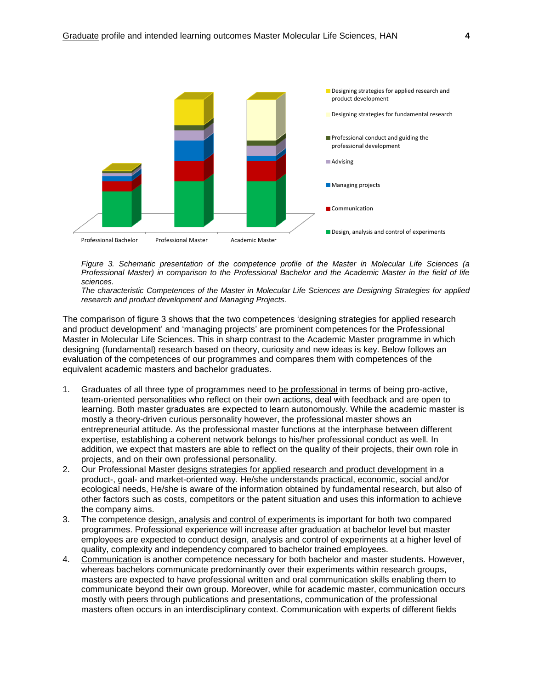

*Figure 3. Schematic presentation of the competence profile of the Master in Molecular Life Sciences (a Professional Master) in comparison to the Professional Bachelor and the Academic Master in the field of life sciences.* 

*The characteristic Competences of the Master in Molecular Life Sciences are Designing Strategies for applied research and product development and Managing Projects.*

The comparison of figure 3 shows that the two competences 'designing strategies for applied research and product development' and 'managing projects' are prominent competences for the Professional Master in Molecular Life Sciences. This in sharp contrast to the Academic Master programme in which designing (fundamental) research based on theory, curiosity and new ideas is key. Below follows an evaluation of the competences of our programmes and compares them with competences of the equivalent academic masters and bachelor graduates.

- 1. Graduates of all three type of programmes need to be professional in terms of being pro-active, team-oriented personalities who reflect on their own actions, deal with feedback and are open to learning. Both master graduates are expected to learn autonomously. While the academic master is mostly a theory-driven curious personality however, the professional master shows an entrepreneurial attitude. As the professional master functions at the interphase between different expertise, establishing a coherent network belongs to his/her professional conduct as well. In addition, we expect that masters are able to reflect on the quality of their projects, their own role in projects, and on their own professional personality.
- 2. Our Professional Master designs strategies for applied research and product development in a product-, goal- and market-oriented way. He/she understands practical, economic, social and/or ecological needs, He/she is aware of the information obtained by fundamental research, but also of other factors such as costs, competitors or the patent situation and uses this information to achieve the company aims.
- 3. The competence design, analysis and control of experiments is important for both two compared programmes. Professional experience will increase after graduation at bachelor level but master employees are expected to conduct design, analysis and control of experiments at a higher level of quality, complexity and independency compared to bachelor trained employees.
- 4. Communication is another competence necessary for both bachelor and master students. However, whereas bachelors communicate predominantly over their experiments within research groups, masters are expected to have professional written and oral communication skills enabling them to communicate beyond their own group. Moreover, while for academic master, communication occurs mostly with peers through publications and presentations, communication of the professional masters often occurs in an interdisciplinary context. Communication with experts of different fields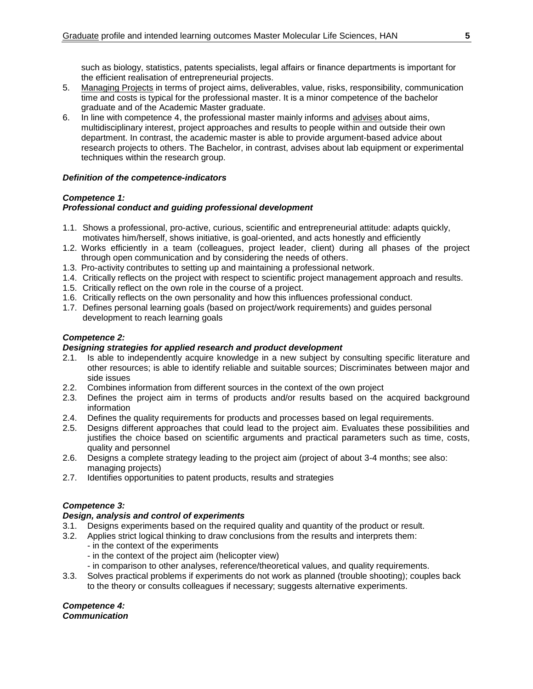such as biology, statistics, patents specialists, legal affairs or finance departments is important for the efficient realisation of entrepreneurial projects.

- 5. Managing Projects in terms of project aims, deliverables, value, risks, responsibility, communication time and costs is typical for the professional master. It is a minor competence of the bachelor graduate and of the Academic Master graduate.
- 6. In line with competence 4, the professional master mainly informs and advises about aims, multidisciplinary interest, project approaches and results to people within and outside their own department. In contrast, the academic master is able to provide argument-based advice about research projects to others. The Bachelor, in contrast, advises about lab equipment or experimental techniques within the research group.

## *Definition of the competence-indicators*

## *Competence 1:*

# *Professional conduct and guiding professional development*

- 1.1. Shows a professional, pro-active, curious, scientific and entrepreneurial attitude: adapts quickly, motivates him/herself, shows initiative, is goal-oriented, and acts honestly and efficiently
- 1.2. Works efficiently in a team (colleagues, project leader, client) during all phases of the project through open communication and by considering the needs of others.
- 1.3. Pro-activity contributes to setting up and maintaining a professional network.
- 1.4. Critically reflects on the project with respect to scientific project management approach and results.
- 1.5. Critically reflect on the own role in the course of a project.
- 1.6. Critically reflects on the own personality and how this influences professional conduct.
- 1.7. Defines personal learning goals (based on project/work requirements) and guides personal development to reach learning goals

## *Competence 2:*

## *Designing strategies for applied research and product development*

- 2.1. Is able to independently acquire knowledge in a new subject by consulting specific literature and other resources; is able to identify reliable and suitable sources; Discriminates between major and side issues
- 2.2. Combines information from different sources in the context of the own project
- 2.3. Defines the project aim in terms of products and/or results based on the acquired background information
- 2.4. Defines the quality requirements for products and processes based on legal requirements.
- 2.5. Designs different approaches that could lead to the project aim. Evaluates these possibilities and justifies the choice based on scientific arguments and practical parameters such as time, costs, quality and personnel
- 2.6. Designs a complete strategy leading to the project aim (project of about 3-4 months; see also: managing projects)
- 2.7. Identifies opportunities to patent products, results and strategies

## *Competence 3:*

## *Design, analysis and control of experiments*

- 3.1. Designs experiments based on the required quality and quantity of the product or result.
- 3.2. Applies strict logical thinking to draw conclusions from the results and interprets them:
	- in the context of the experiments
	- in the context of the project aim (helicopter view)
	- in comparison to other analyses, reference/theoretical values, and quality requirements.
- 3.3. Solves practical problems if experiments do not work as planned (trouble shooting); couples back to the theory or consults colleagues if necessary; suggests alternative experiments.

#### *Competence 4: Communication*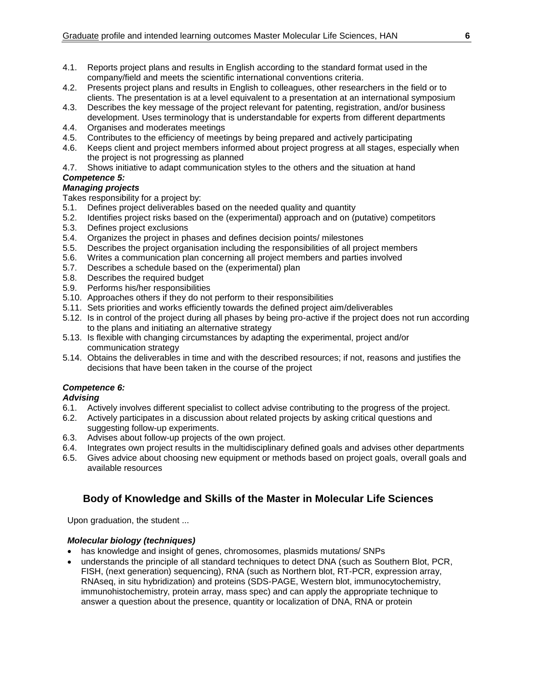- 4.1. Reports project plans and results in English according to the standard format used in the company/field and meets the scientific international conventions criteria.
- 4.2. Presents project plans and results in English to colleagues, other researchers in the field or to clients. The presentation is at a level equivalent to a presentation at an international symposium
- 4.3. Describes the key message of the project relevant for patenting, registration, and/or business development. Uses terminology that is understandable for experts from different departments
- 4.4. Organises and moderates meetings
- 4.5. Contributes to the efficiency of meetings by being prepared and actively participating
- 4.6. Keeps client and project members informed about project progress at all stages, especially when the project is not progressing as planned
- 4.7. Shows initiative to adapt communication styles to the others and the situation at hand

#### *Competence 5: Managing projects*

Takes responsibility for a project by:

- 5.1. Defines project deliverables based on the needed quality and quantity
- 5.2. Identifies project risks based on the (experimental) approach and on (putative) competitors
- 5.3. Defines project exclusions
- 5.4. Organizes the project in phases and defines decision points/ milestones
- 5.5. Describes the project organisation including the responsibilities of all project members
- 5.6. Writes a communication plan concerning all project members and parties involved
- 5.7. Describes a schedule based on the (experimental) plan
- 5.8. Describes the required budget
- 5.9. Performs his/her responsibilities
- 5.10. Approaches others if they do not perform to their responsibilities
- 5.11. Sets priorities and works efficiently towards the defined project aim/deliverables
- 5.12. Is in control of the project during all phases by being pro-active if the project does not run according to the plans and initiating an alternative strategy
- 5.13. Is flexible with changing circumstances by adapting the experimental, project and/or communication strategy
- 5.14. Obtains the deliverables in time and with the described resources; if not, reasons and justifies the decisions that have been taken in the course of the project

## *Competence 6:*

#### *Advising*

- 6.1. Actively involves different specialist to collect advise contributing to the progress of the project.
- 6.2. Actively participates in a discussion about related projects by asking critical questions and suggesting follow-up experiments.
- 6.3. Advises about follow-up projects of the own project.
- 6.4. Integrates own project results in the multidisciplinary defined goals and advises other departments
- 6.5. Gives advice about choosing new equipment or methods based on project goals, overall goals and available resources

# <span id="page-5-0"></span>**Body of Knowledge and Skills of the Master in Molecular Life Sciences**

Upon graduation, the student ...

## *Molecular biology (techniques)*

- has knowledge and insight of genes, chromosomes, plasmids mutations/ SNPs
- understands the principle of all standard techniques to detect DNA (such as Southern Blot, PCR, FISH, (next generation) sequencing), RNA (such as Northern blot, RT-PCR, expression array, RNAseq, in situ hybridization) and proteins (SDS-PAGE, Western blot, immunocytochemistry, immunohistochemistry, protein array, mass spec) and can apply the appropriate technique to answer a question about the presence, quantity or localization of DNA, RNA or protein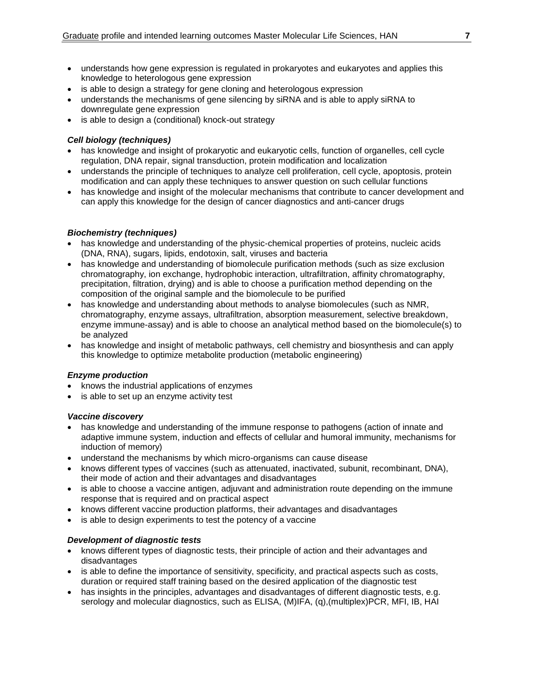- understands how gene expression is regulated in prokaryotes and eukaryotes and applies this knowledge to heterologous gene expression
- is able to design a strategy for gene cloning and heterologous expression
- understands the mechanisms of gene silencing by siRNA and is able to apply siRNA to downregulate gene expression
- is able to design a (conditional) knock-out strategy

#### *Cell biology (techniques)*

- has knowledge and insight of prokaryotic and eukaryotic cells, function of organelles, cell cycle regulation, DNA repair, signal transduction, protein modification and localization
- understands the principle of techniques to analyze cell proliferation, cell cycle, apoptosis, protein modification and can apply these techniques to answer question on such cellular functions
- has knowledge and insight of the molecular mechanisms that contribute to cancer development and can apply this knowledge for the design of cancer diagnostics and anti-cancer drugs

#### *Biochemistry (techniques)*

- has knowledge and understanding of the physic-chemical properties of proteins, nucleic acids (DNA, RNA), sugars, lipids, endotoxin, salt, viruses and bacteria
- has knowledge and understanding of biomolecule purification methods (such as size exclusion chromatography, ion exchange, hydrophobic interaction, ultrafiltration, affinity chromatography, precipitation, filtration, drying) and is able to choose a purification method depending on the composition of the original sample and the biomolecule to be purified
- has knowledge and understanding about methods to analyse biomolecules (such as NMR, chromatography, enzyme assays, ultrafiltration, absorption measurement, selective breakdown, enzyme immune-assay) and is able to choose an analytical method based on the biomolecule(s) to be analyzed
- has knowledge and insight of metabolic pathways, cell chemistry and biosynthesis and can apply this knowledge to optimize metabolite production (metabolic engineering)

#### *Enzyme production*

- knows the industrial applications of enzymes
- is able to set up an enzyme activity test

#### *Vaccine discovery*

- has knowledge and understanding of the immune response to pathogens (action of innate and adaptive immune system, induction and effects of cellular and humoral immunity, mechanisms for induction of memory)
- understand the mechanisms by which micro-organisms can cause disease
- knows different types of vaccines (such as attenuated, inactivated, subunit, recombinant, DNA), their mode of action and their advantages and disadvantages
- is able to choose a vaccine antigen, adjuvant and administration route depending on the immune response that is required and on practical aspect
- knows different vaccine production platforms, their advantages and disadvantages
- is able to design experiments to test the potency of a vaccine

## *Development of diagnostic tests*

- knows different types of diagnostic tests, their principle of action and their advantages and disadvantages
- is able to define the importance of sensitivity, specificity, and practical aspects such as costs, duration or required staff training based on the desired application of the diagnostic test
- has insights in the principles, advantages and disadvantages of different diagnostic tests, e.g. serology and molecular diagnostics, such as ELISA, (M)IFA, (g), (multiplex)PCR, MFI, IB, HAI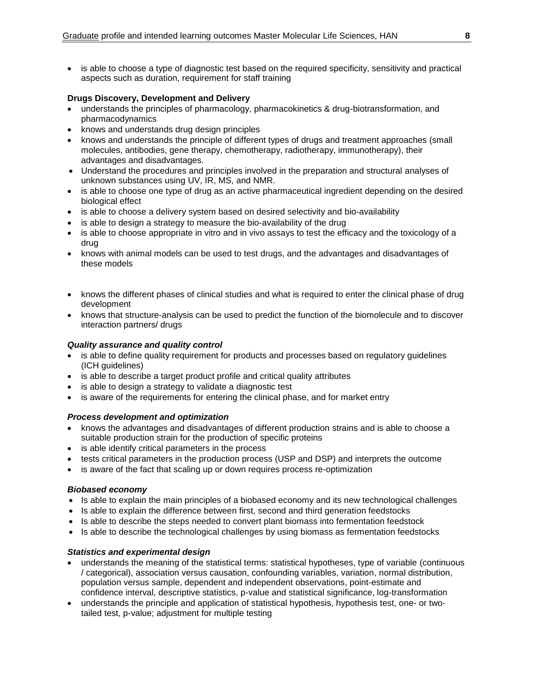• is able to choose a type of diagnostic test based on the required specificity, sensitivity and practical aspects such as duration, requirement for staff training

## **Drugs Discovery, Development and Delivery**

- understands the principles of pharmacology, pharmacokinetics & drug-biotransformation, and pharmacodynamics
- knows and understands drug design principles
- knows and understands the principle of different types of drugs and treatment approaches (small molecules, antibodies, gene therapy, chemotherapy, radiotherapy, immunotherapy), their advantages and disadvantages.
- Understand the procedures and principles involved in the preparation and structural analyses of unknown substances using UV, IR, MS, and NMR.
- is able to choose one type of drug as an active pharmaceutical ingredient depending on the desired biological effect
- is able to choose a delivery system based on desired selectivity and bio-availability
- is able to design a strategy to measure the bio-availability of the drug
- is able to choose appropriate in vitro and in vivo assays to test the efficacy and the toxicology of a drug
- knows with animal models can be used to test drugs, and the advantages and disadvantages of these models
- knows the different phases of clinical studies and what is required to enter the clinical phase of drug development
- knows that structure-analysis can be used to predict the function of the biomolecule and to discover interaction partners/ drugs

#### *Quality assurance and quality control*

- is able to define quality requirement for products and processes based on requlatory quidelines (ICH guidelines)
- is able to describe a target product profile and critical quality attributes
- is able to design a strategy to validate a diagnostic test
- is aware of the requirements for entering the clinical phase, and for market entry

#### *Process development and optimization*

- knows the advantages and disadvantages of different production strains and is able to choose a suitable production strain for the production of specific proteins
- is able identify critical parameters in the process
- tests critical parameters in the production process (USP and DSP) and interprets the outcome
- is aware of the fact that scaling up or down requires process re-optimization

#### *Biobased economy*

- Is able to explain the main principles of a biobased economy and its new technological challenges
- Is able to explain the difference between first, second and third generation feedstocks
- Is able to describe the steps needed to convert plant biomass into fermentation feedstock
- Is able to describe the technological challenges by using biomass as fermentation feedstocks

## *Statistics and experimental design*

- understands the meaning of the statistical terms: statistical hypotheses, type of variable (continuous / categorical), association versus causation, confounding variables, variation, normal distribution, population versus sample, dependent and independent observations, point-estimate and confidence interval, descriptive statistics, p-value and statistical significance, log-transformation
- understands the principle and application of statistical hypothesis, hypothesis test, one- or twotailed test, p-value; adjustment for multiple testing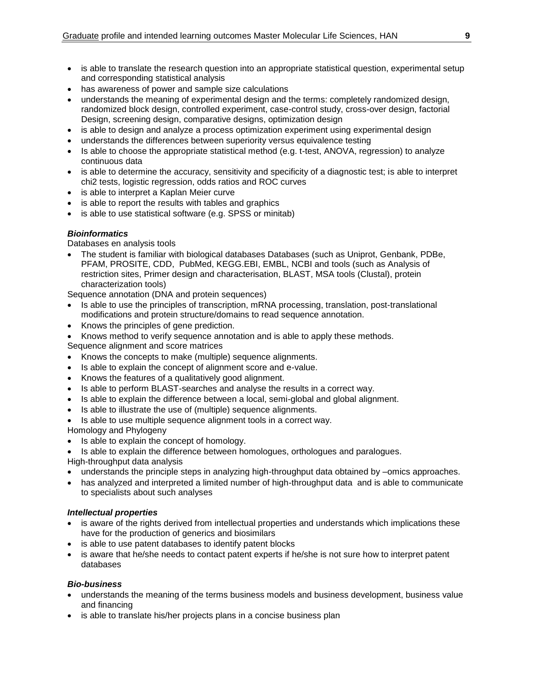- is able to translate the research question into an appropriate statistical question, experimental setup and corresponding statistical analysis
- has awareness of power and sample size calculations
- understands the meaning of experimental design and the terms: completely randomized design, randomized block design, controlled experiment, case-control study, cross-over design, factorial Design, screening design, comparative designs, optimization design
- is able to design and analyze a process optimization experiment using experimental design
- understands the differences between superiority versus equivalence testing
- $\bullet$  Is able to choose the appropriate statistical method (e.g. t-test, ANOVA, regression) to analyze continuous data
- is able to determine the accuracy, sensitivity and specificity of a diagnostic test; is able to interpret chi2 tests, logistic regression, odds ratios and ROC curves
- is able to interpret a Kaplan Meier curve
- is able to report the results with tables and graphics
- is able to use statistical software (e.g. SPSS or minitab)

#### *Bioinformatics*

Databases en analysis tools

 The student is familiar with biological databases Databases (such as Uniprot, Genbank, PDBe, PFAM, PROSITE, CDD, PubMed, KEGG.EBI, EMBL, NCBI and tools (such as Analysis of restriction sites, Primer design and characterisation, BLAST, MSA tools (Clustal), protein characterization tools)

Sequence annotation (DNA and protein sequences)

- Is able to use the principles of transcription, mRNA processing, translation, post-translational modifications and protein structure/domains to read sequence annotation.
- Knows the principles of gene prediction.
- Knows method to verify sequence annotation and is able to apply these methods.
- Sequence alignment and score matrices
- Knows the concepts to make (multiple) sequence alignments.
- Is able to explain the concept of alignment score and e-value.
- Knows the features of a qualitatively good alignment.
- Is able to perform BLAST-searches and analyse the results in a correct way.
- Is able to explain the difference between a local, semi-global and global alignment.
- Is able to illustrate the use of (multiple) sequence alignments.
- Is able to use multiple sequence alignment tools in a correct way.

Homology and Phylogeny

- Is able to explain the concept of homology.
- Is able to explain the difference between homologues, orthologues and paralogues.

High-throughput data analysis

- understands the principle steps in analyzing high-throughput data obtained by –omics approaches.
- has analyzed and interpreted a limited number of high-throughput data and is able to communicate to specialists about such analyses

## *Intellectual properties*

- is aware of the rights derived from intellectual properties and understands which implications these have for the production of generics and biosimilars
- is able to use patent databases to identify patent blocks
- is aware that he/she needs to contact patent experts if he/she is not sure how to interpret patent databases

## *Bio-business*

- understands the meaning of the terms business models and business development, business value and financing
- is able to translate his/her projects plans in a concise business plan